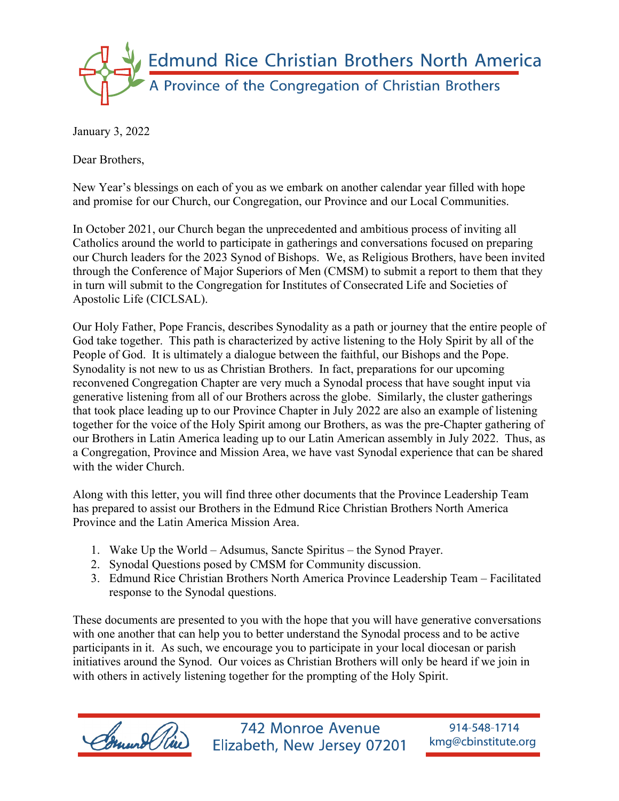

January 3, 2022

Dear Brothers,

New Year's blessings on each of you as we embark on another calendar year filled with hope and promise for our Church, our Congregation, our Province and our Local Communities.

In October 2021, our Church began the unprecedented and ambitious process of inviting all Catholics around the world to participate in gatherings and conversations focused on preparing our Church leaders for the 2023 Synod of Bishops. We, as Religious Brothers, have been invited through the Conference of Major Superiors of Men (CMSM) to submit a report to them that they in turn will submit to the Congregation for Institutes of Consecrated Life and Societies of Apostolic Life (CICLSAL).

Our Holy Father, Pope Francis, describes Synodality as a path or journey that the entire people of God take together. This path is characterized by active listening to the Holy Spirit by all of the People of God. It is ultimately a dialogue between the faithful, our Bishops and the Pope. Synodality is not new to us as Christian Brothers. In fact, preparations for our upcoming reconvened Congregation Chapter are very much a Synodal process that have sought input via generative listening from all of our Brothers across the globe. Similarly, the cluster gatherings that took place leading up to our Province Chapter in July 2022 are also an example of listening together for the voice of the Holy Spirit among our Brothers, as was the pre-Chapter gathering of our Brothers in Latin America leading up to our Latin American assembly in July 2022. Thus, as a Congregation, Province and Mission Area, we have vast Synodal experience that can be shared with the wider Church.

Along with this letter, you will find three other documents that the Province Leadership Team has prepared to assist our Brothers in the Edmund Rice Christian Brothers North America Province and the Latin America Mission Area.

- 1. Wake Up the World Adsumus, Sancte Spiritus the Synod Prayer.
- 2. Synodal Questions posed by CMSM for Community discussion.
- 3. Edmund Rice Christian Brothers North America Province Leadership Team Facilitated response to the Synodal questions.

These documents are presented to you with the hope that you will have generative conversations with one another that can help you to better understand the Synodal process and to be active participants in it. As such, we encourage you to participate in your local diocesan or parish initiatives around the Synod. Our voices as Christian Brothers will only be heard if we join in with others in actively listening together for the prompting of the Holy Spirit.



742 Monroe Avenue Elizabeth, New Jersey 07201